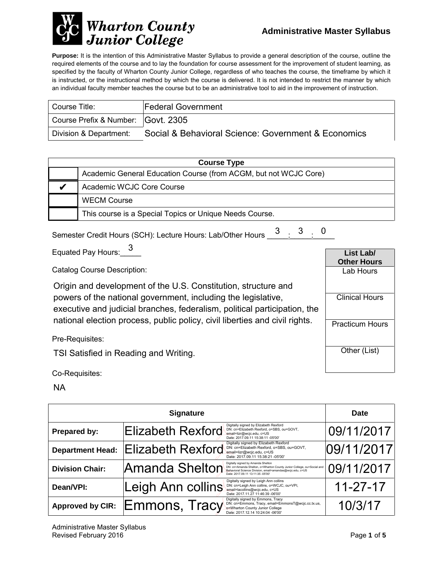

**Purpose:** It is the intention of this Administrative Master Syllabus to provide a general description of the course, outline the required elements of the course and to lay the foundation for course assessment for the improvement of student learning, as specified by the faculty of Wharton County Junior College, regardless of who teaches the course, the timeframe by which it is instructed, or the instructional method by which the course is delivered. It is not intended to restrict the manner by which an individual faculty member teaches the course but to be an administrative tool to aid in the improvement of instruction.

| Course Title:                      | <b>Federal Government</b>                           |
|------------------------------------|-----------------------------------------------------|
| Course Prefix & Number: Govt. 2305 |                                                     |
| Division & Department:             | Social & Behavioral Science: Government & Economics |

| <b>Course Type</b> |                                                                  |  |
|--------------------|------------------------------------------------------------------|--|
|                    | Academic General Education Course (from ACGM, but not WCJC Core) |  |
|                    | Academic WCJC Core Course                                        |  |
|                    | <b>WECM Course</b>                                               |  |
|                    | This course is a Special Topics or Unique Needs Course.          |  |

| <sup>2</sup> mester Credit Hours (SCH): Lecture Hours: Lab/Other Hours 3 3 0 |  |  |  |
|------------------------------------------------------------------------------|--|--|--|
|                                                                              |  |  |  |

Equated Pay Hours:\_\_\_\_\_ 3

Catalog Course Description:

Origin and development of the U.S. Constitution, structure and powers of the national government, including the legislative, executive and judicial branches, federalism, political participation, the national election process, public policy, civil liberties and civil rights.

Pre-Requisites:

TSI Satisfied in Reading and Writing.

Co-Requisites:

NA

| <b>Signature</b>        |                          |                                                                                                                                                                                                               | <b>Date</b>    |  |
|-------------------------|--------------------------|---------------------------------------------------------------------------------------------------------------------------------------------------------------------------------------------------------------|----------------|--|
| Prepared by:            | Elizabeth Rexford        | Digitally signed by Elizabeth Rexford<br>DN: cn=Elizabeth Rexford, o=SBS, ou=GOVT,<br>email=lizr@wcjc.edu, c=US<br>Date: 2017.09.11 15:38:11 -05'00'                                                          | 09/11/2017     |  |
| <b>Department Head:</b> | <b>Elizabeth Rexford</b> | Digitally signed by Elizabeth Rexford<br>DN: cn=Elizabeth Rexford, o=SBS, ou=GOVT,<br>email=lizr@wcjc.edu, c=US<br>Date: 2017.09.11 15:38:21 -05'00'                                                          | 09/11/2017     |  |
| <b>Division Chair:</b>  | Amanda Shelton           | Digitally signed by Amanda Shelton<br>DN: cn=Amanda Shelton, o=Wharton County Junior College, ou=Social and<br>Behavioral Science Division, email=amandas@wcjc.edu, c=US<br>Date: 2017.09.11 13:11:35 -05'00' | 09/11/2017     |  |
| Dean/VPI:               | Leigh Ann collins        | Digitally signed by Leigh Ann collins<br>DN: cn=Leigh Ann collins, o=WCJC, ou=VPI,<br>email=lacollins@wcjc.edu, c=US<br>Date: 2017.11.27 11:46:39 -06'00'                                                     | $11 - 27 - 17$ |  |
| <b>Approved by CIR:</b> | Emmons, Tracy            | Digitally signed by Emmons, Tracy<br>DN: cn=Emmons, Tracy, email=EmmonsT@wcjc.cc.tx.us,<br>o=Wharton County Junior College<br>Date: 2017.12.14 10:24:04 -06'00'                                               | 10/3/17        |  |

**List Lab/ Other Hours** Lab Hours

Clinical Hours

Practicum Hours

Other (List)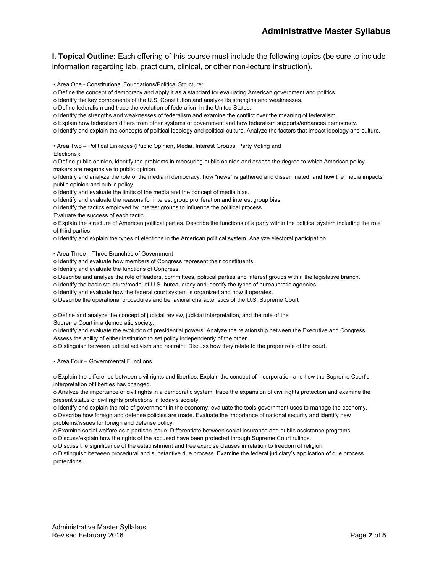**I. Topical Outline:** Each offering of this course must include the following topics (be sure to include information regarding lab, practicum, clinical, or other non-lecture instruction).

• Area One - Constitutional Foundations/Political Structure:

o Define the concept of democracy and apply it as a standard for evaluating American government and politics.

o Identify the key components of the U.S. Constitution and analyze its strengths and weaknesses.

o Define federalism and trace the evolution of federalism in the United States.

o Identify the strengths and weaknesses of federalism and examine the conflict over the meaning of federalism.

o Explain how federalism differs from other systems of government and how federalism supports/enhances democracy.

o Identify and explain the concepts of political ideology and political culture. Analyze the factors that impact ideology and culture.

• Area Two – Political Linkages (Public Opinion, Media, Interest Groups, Party Voting and Elections):

o Define public opinion, identify the problems in measuring public opinion and assess the degree to which American policy makers are responsive to public opinion.

o Identify and analyze the role of the media in democracy, how "news" is gathered and disseminated, and how the media impacts public opinion and public policy.

o Identify and evaluate the limits of the media and the concept of media bias.

o Identify and evaluate the reasons for interest group proliferation and interest group bias.

o Identify the tactics employed by interest groups to influence the political process.

Evaluate the success of each tactic.

o Explain the structure of American political parties. Describe the functions of a party within the political system including the role of third parties.

o Identify and explain the types of elections in the American political system. Analyze electoral participation.

• Area Three – Three Branches of Government

o Identify and evaluate how members of Congress represent their constituents.

o Identify and evaluate the functions of Congress.

o Describe and analyze the role of leaders, committees, political parties and interest groups within the legislative branch.

o Identify the basic structure/model of U.S. bureaucracy and identify the types of bureaucratic agencies.

o Identify and evaluate how the federal court system is organized and how it operates.

o Describe the operational procedures and behavioral characteristics of the U.S. Supreme Court

o Define and analyze the concept of judicial review, judicial interpretation, and the role of the

Supreme Court in a democratic society.

o Identify and evaluate the evolution of presidential powers. Analyze the relationship between the Executive and Congress. Assess the ability of either institution to set policy independently of the other.

o Distinguish between judicial activism and restraint. Discuss how they relate to the proper role of the court.

• Area Four – Governmental Functions

o Explain the difference between civil rights and liberties. Explain the concept of incorporation and how the Supreme Court's interpretation of liberties has changed.

o Analyze the importance of civil rights in a democratic system, trace the expansion of civil rights protection and examine the present status of civil rights protections in today's society.

o Identify and explain the role of government in the economy, evaluate the tools government uses to manage the economy.

o Describe how foreign and defense policies are made. Evaluate the importance of national security and identify new problems/issues for foreign and defense policy.

o Examine social welfare as a partisan issue. Differentiate between social insurance and public assistance programs.

o Discuss/explain how the rights of the accused have been protected through Supreme Court rulings.

o Discuss the significance of the establishment and free exercise clauses in relation to freedom of religion.

o Distinguish between procedural and substantive due process. Examine the federal judiciary's application of due process protections.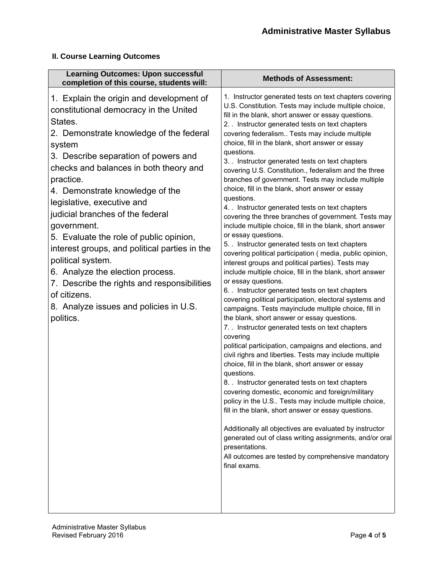#### **II. Course Learning Outcomes**

| <b>Learning Outcomes: Upon successful</b><br>completion of this course, students will:                                                                                                                                                                                                                                                                                                                                                                                                                                                                                                                                                           | <b>Methods of Assessment:</b>                                                                                                                                                                                                                                                                                                                                                                                                                                                                                                                                                                                                                                                                                                                                                                                                                                                                                                                                                                                                                                                                                                                                                                                                                                                                                                                                                                                                                                                                                                                                                                                                                                                                                                                                                                                                                                                                                                                         |
|--------------------------------------------------------------------------------------------------------------------------------------------------------------------------------------------------------------------------------------------------------------------------------------------------------------------------------------------------------------------------------------------------------------------------------------------------------------------------------------------------------------------------------------------------------------------------------------------------------------------------------------------------|-------------------------------------------------------------------------------------------------------------------------------------------------------------------------------------------------------------------------------------------------------------------------------------------------------------------------------------------------------------------------------------------------------------------------------------------------------------------------------------------------------------------------------------------------------------------------------------------------------------------------------------------------------------------------------------------------------------------------------------------------------------------------------------------------------------------------------------------------------------------------------------------------------------------------------------------------------------------------------------------------------------------------------------------------------------------------------------------------------------------------------------------------------------------------------------------------------------------------------------------------------------------------------------------------------------------------------------------------------------------------------------------------------------------------------------------------------------------------------------------------------------------------------------------------------------------------------------------------------------------------------------------------------------------------------------------------------------------------------------------------------------------------------------------------------------------------------------------------------------------------------------------------------------------------------------------------------|
| 1. Explain the origin and development of<br>constitutional democracy in the United<br>States.<br>2. Demonstrate knowledge of the federal<br>system<br>3. Describe separation of powers and<br>checks and balances in both theory and<br>practice.<br>4. Demonstrate knowledge of the<br>legislative, executive and<br>judicial branches of the federal<br>government.<br>5. Evaluate the role of public opinion,<br>interest groups, and political parties in the<br>political system.<br>6. Analyze the election process.<br>7. Describe the rights and responsibilities<br>of citizens.<br>8. Analyze issues and policies in U.S.<br>politics. | 1. Instructor generated tests on text chapters covering<br>U.S. Constitution. Tests may include multiple choice,<br>fill in the blank, short answer or essay questions.<br>2. Instructor generated tests on text chapters<br>covering federalism Tests may include multiple<br>choice, fill in the blank, short answer or essay<br>questions.<br>3. Instructor generated tests on text chapters<br>covering U.S. Constitution., federalism and the three<br>branches of government. Tests may include multiple<br>choice, fill in the blank, short answer or essay<br>questions.<br>4. . Instructor generated tests on text chapters<br>covering the three branches of government. Tests may<br>include multiple choice, fill in the blank, short answer<br>or essay questions.<br>5. . Instructor generated tests on text chapters<br>covering political participation (media, public opinion,<br>interest groups and political parties). Tests may<br>include multiple choice, fill in the blank, short answer<br>or essay questions.<br>6. . Instructor generated tests on text chapters<br>covering political participation, electoral systems and<br>campaigns. Tests mayinclude multiple choice, fill in<br>the blank, short answer or essay questions.<br>7. Instructor generated tests on text chapters<br>covering<br>political participation, campaigns and elections, and<br>civil righrs and liberties. Tests may include multiple<br>choice, fill in the blank, short answer or essay<br>questions.<br>8. . Instructor generated tests on text chapters<br>covering domestic, economic and foreign/military<br>policy in the U.S Tests may include multiple choice,<br>fill in the blank, short answer or essay questions.<br>Additionally all objectives are evaluated by instructor<br>generated out of class writing assignments, and/or oral<br>presentations.<br>All outcomes are tested by comprehensive mandatory<br>final exams. |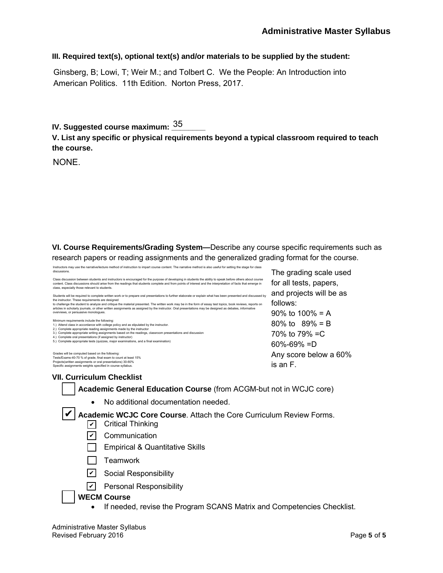#### **III. Required text(s), optional text(s) and/or materials to be supplied by the student:**

Ginsberg, B; Lowi, T; Weir M.; and Tolbert C. We the People: An Introduction into American Politics. 11th Edition. Norton Press, 2017.

### IV. Suggested course maximum: <u><sup>35</sup>\_\_\_\_\_</u>

**V. List any specific or physical requirements beyond a typical classroom required to teach the course.**

NONE.

**VI. Course Requirements/Grading System—**Describe any course specific requirements such as research papers or reading assignments and the generalized grading format for the course.

| Instructors may use the narrative/lecture method of instruction to impart course content. The narrative method is also useful for setting the stage for class<br>discussions.                                                                                                                                                                                             | The grading scale used  |
|---------------------------------------------------------------------------------------------------------------------------------------------------------------------------------------------------------------------------------------------------------------------------------------------------------------------------------------------------------------------------|-------------------------|
| Class discussion between students and instructors is encouraged for the purpose of developing in students the ability to speak before others about course<br>content. Class discussions should arise from the readings that students complete and from points of interest and the interpretation of facts that emerge in<br>class, especially those relevant to students. | for all tests, papers,  |
| Students will be required to complete written work or to prepare oral presentations to further elaborate or explain what has been presented and discussed by<br>the instructor. These requirements are designed                                                                                                                                                           | and projects will be as |
| to challenge the student to analyze and critique the material presented. The written work may be in the form of essay test topics, book reviews, reports on<br>articles in scholarly journals, or other written assignments as assigned by the instructor. Oral presentations may be designed as debates, informative                                                     | follows:                |
| overviews, or persuasive monologues.                                                                                                                                                                                                                                                                                                                                      | 90% to $100% = A$       |
| Minimum requirements include the following:<br>1.) Attend class in accordance with college policy and as stipulated by the instructor.                                                                                                                                                                                                                                    | 80\% to $89\% = B$      |
| 2.) Complete appropriate reading assignments made by the instructor<br>3.) Complete appropriate writing assignments based on the readings, classroom presentations and discussion                                                                                                                                                                                         | 70\% to 79\% = C        |
| 4.) Complete oral presentations (if assigned by instructor)                                                                                                                                                                                                                                                                                                               |                         |
| 5.) Complete appropriate tests (quizzes, major examinations, and a final examination)                                                                                                                                                                                                                                                                                     | $60\% - 69\% = D$       |
| Grades will be computed based on the following:<br>Tests/Exams-40-70 % of grade, final exam to count at least 15%                                                                                                                                                                                                                                                         | Any score below a 60%   |
| Projects(written assignments or oral presentations) 30-60%                                                                                                                                                                                                                                                                                                                | is an F.                |
| Specific assignments weights specified in course syllabus.                                                                                                                                                                                                                                                                                                                |                         |

#### **VII. Curriculum Checklist**

**Academic General Education Course** (from ACGM-but not in WCJC core)

• No additional documentation needed.

✔ Academic WCJC Core Course. Attach the Core Curriculum Review Forms.

- ✔ Critical Thinking
- <u>✔</u> Communication
- **Empirical & Quantitative Skills**
- $\Box$  Teamwork
- <u>✔</u> Social Responsibility
- <u>v</u> Personal Responsibility

#### **WECM Course**

• If needed, revise the Program SCANS Matrix and Competencies Checklist.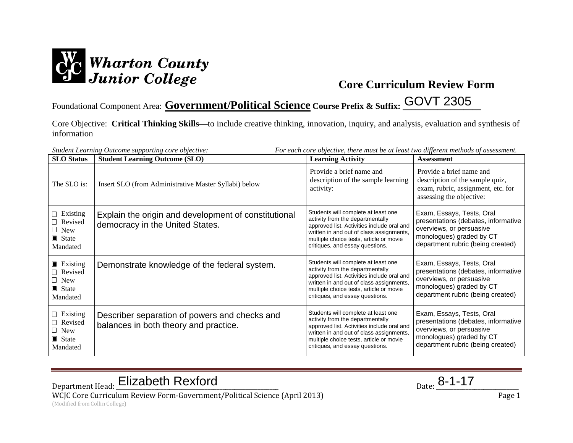

Foundational Component Area: **Government/Political Science Course Prefix & Suffix: \_\_\_\_\_\_\_\_\_\_\_\_\_\_\_\_\_\_** GOVT 2305

Core Objective: **Critical Thinking Skills—**to include creative thinking, innovation, inquiry, and analysis, evaluation and synthesis of information

| For each core objective, there must be at least two different methods of assessment.<br>Student Learning Outcome supporting core objective: |                                                                                         |                                                                                                                                                                                                                                                 |                                                                                                                                                               |  |
|---------------------------------------------------------------------------------------------------------------------------------------------|-----------------------------------------------------------------------------------------|-------------------------------------------------------------------------------------------------------------------------------------------------------------------------------------------------------------------------------------------------|---------------------------------------------------------------------------------------------------------------------------------------------------------------|--|
| <b>SLO</b> Status                                                                                                                           | <b>Student Learning Outcome (SLO)</b>                                                   | <b>Learning Activity</b>                                                                                                                                                                                                                        | <b>Assessment</b>                                                                                                                                             |  |
| The SLO is:                                                                                                                                 | Insert SLO (from Administrative Master Syllabi) below                                   | Provide a brief name and<br>description of the sample learning<br>activity:                                                                                                                                                                     | Provide a brief name and<br>description of the sample quiz,<br>exam, rubric, assignment, etc. for<br>assessing the objective:                                 |  |
| $\Box$ Existing<br>$\Box$ Revised<br>$\Box$ New<br>$\blacksquare$ State<br>Mandated                                                         | Explain the origin and development of constitutional<br>democracy in the United States. | Students will complete at least one<br>activity from the departmentally<br>approved list. Activities include oral and<br>written in and out of class assignments,<br>multiple choice tests, article or movie<br>critiques, and essay questions. | Exam, Essays, Tests, Oral<br>presentations (debates, informative<br>overviews, or persuasive<br>monologues) graded by CT<br>department rubric (being created) |  |
| $\blacksquare$ Existing<br>$\Box$ Revised<br>$\Box$ New<br>$\blacksquare$ State<br>Mandated                                                 | Demonstrate knowledge of the federal system.                                            | Students will complete at least one<br>activity from the departmentally<br>approved list. Activities include oral and<br>written in and out of class assignments,<br>multiple choice tests, article or movie<br>critiques, and essay questions. | Exam, Essays, Tests, Oral<br>presentations (debates, informative<br>overviews, or persuasive<br>monologues) graded by CT<br>department rubric (being created) |  |
| $\Box$ Existing<br>$\Box$ Revised<br>$\Box$ New<br>State<br>Mandated                                                                        | Describer separation of powers and checks and<br>balances in both theory and practice.  | Students will complete at least one<br>activity from the departmentally<br>approved list. Activities include oral and<br>written in and out of class assignments,<br>multiple choice tests, article or movie<br>critiques, and essay questions. | Exam, Essays, Tests, Oral<br>presentations (debates, informative<br>overviews, or persuasive<br>monologues) graded by CT<br>department rubric (being created) |  |

Department Head: Elizabeth Rexford Department Head: <u>Elizabeth Rexford</u> Parte 2014

WCJC Core Curriculum Review Form-Government/Political Science (April 2013) Page 1 (Modified from Collin College)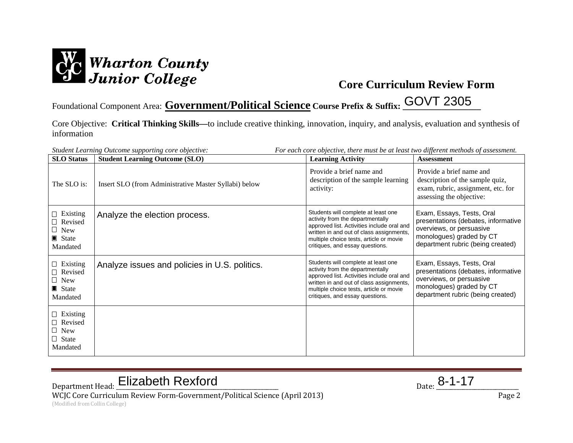

Foundational Component Area: **Government/Political Science Course Prefix & Suffix: \_\_\_\_\_\_\_\_\_\_\_\_\_\_\_\_\_\_** GOVT 2305

Core Objective: **Critical Thinking Skills—**to include creative thinking, innovation, inquiry, and analysis, evaluation and synthesis of information

|                                                                                     | For each core objective, there must be at least two different methods of assessment.<br>Student Learning Outcome supporting core objective: |                                                                                                                                                                                                                                                 |                                                                                                                                                               |  |
|-------------------------------------------------------------------------------------|---------------------------------------------------------------------------------------------------------------------------------------------|-------------------------------------------------------------------------------------------------------------------------------------------------------------------------------------------------------------------------------------------------|---------------------------------------------------------------------------------------------------------------------------------------------------------------|--|
| <b>SLO</b> Status                                                                   | <b>Student Learning Outcome (SLO)</b>                                                                                                       | <b>Learning Activity</b>                                                                                                                                                                                                                        | <b>Assessment</b>                                                                                                                                             |  |
| The SLO is:                                                                         | Insert SLO (from Administrative Master Syllabi) below                                                                                       | Provide a brief name and<br>description of the sample learning<br>activity:                                                                                                                                                                     | Provide a brief name and<br>description of the sample quiz,<br>exam, rubric, assignment, etc. for<br>assessing the objective:                                 |  |
| $\Box$ Existing<br>$\Box$ Revised<br>$\Box$ New<br>$\blacksquare$ State<br>Mandated | Analyze the election process.                                                                                                               | Students will complete at least one<br>activity from the departmentally<br>approved list. Activities include oral and<br>written in and out of class assignments,<br>multiple choice tests, article or movie<br>critiques, and essay questions. | Exam, Essays, Tests, Oral<br>presentations (debates, informative<br>overviews, or persuasive<br>monologues) graded by CT<br>department rubric (being created) |  |
| $\Box$ Existing<br>$\Box$ Revised<br>$\Box$ New<br>$\blacksquare$ State<br>Mandated | Analyze issues and policies in U.S. politics.                                                                                               | Students will complete at least one<br>activity from the departmentally<br>approved list. Activities include oral and<br>written in and out of class assignments,<br>multiple choice tests, article or movie<br>critiques, and essay questions. | Exam, Essays, Tests, Oral<br>presentations (debates, informative<br>overviews, or persuasive<br>monologues) graded by CT<br>department rubric (being created) |  |
| $\Box$ Existing<br>$\Box$ Revised<br>$\Box$ New<br>$\Box$ State<br>Mandated         |                                                                                                                                             |                                                                                                                                                                                                                                                 |                                                                                                                                                               |  |

# Department Head: Elizabeth Rexford Department Head: <u>Elizabeth Rexford</u> Parte 2014

WCJC Core Curriculum Review Form-Government/Political Science (April 2013) Page 2 (Modified from Collin College)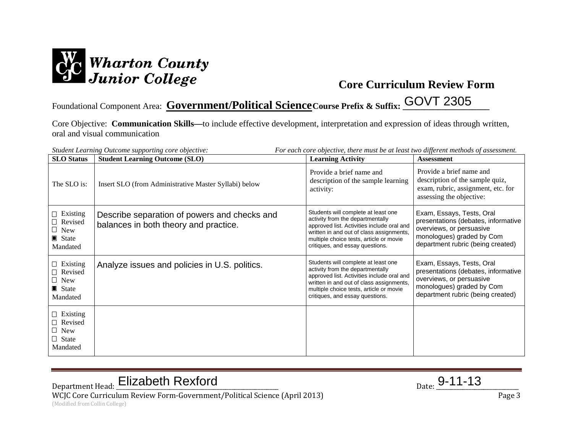

## Foundational Component Area: Covernment/Political Science Course Prefix & Suffix: COVT 2305

Core Objective: **Communication Skills—**to include effective development, interpretation and expression of ideas through written, oral and visual communication

| For each core objective, there must be at least two different methods of assessment.<br>Student Learning Outcome supporting core objective: |                                                                                       |                                                                                                                                                                                                                                                 |                                                                                                                                                                |  |
|---------------------------------------------------------------------------------------------------------------------------------------------|---------------------------------------------------------------------------------------|-------------------------------------------------------------------------------------------------------------------------------------------------------------------------------------------------------------------------------------------------|----------------------------------------------------------------------------------------------------------------------------------------------------------------|--|
| <b>SLO</b> Status                                                                                                                           | <b>Student Learning Outcome (SLO)</b>                                                 | <b>Learning Activity</b>                                                                                                                                                                                                                        | <b>Assessment</b>                                                                                                                                              |  |
| The SLO is:                                                                                                                                 | Insert SLO (from Administrative Master Syllabi) below                                 | Provide a brief name and<br>description of the sample learning<br>activity:                                                                                                                                                                     | Provide a brief name and<br>description of the sample quiz,<br>exam, rubric, assignment, etc. for<br>assessing the objective:                                  |  |
| $\Box$ Existing<br>$\Box$ Revised<br>$\Box$ New<br>$\blacksquare$ State<br>Mandated                                                         | Describe separation of powers and checks and<br>balances in both theory and practice. | Students will complete at least one<br>activity from the departmentally<br>approved list. Activities include oral and<br>written in and out of class assignments,<br>multiple choice tests, article or movie<br>critiques, and essay questions. | Exam, Essays, Tests, Oral<br>presentations (debates, informative<br>overviews, or persuasive<br>monologues) graded by Com<br>department rubric (being created) |  |
| $\Box$ Existing<br>$\Box$ Revised<br>$\Box$ New<br>$\blacksquare$ State<br>Mandated                                                         | Analyze issues and policies in U.S. politics.                                         | Students will complete at least one<br>activity from the departmentally<br>approved list. Activities include oral and<br>written in and out of class assignments,<br>multiple choice tests, article or movie<br>critiques, and essay questions. | Exam, Essays, Tests, Oral<br>presentations (debates, informative<br>overviews, or persuasive<br>monologues) graded by Com<br>department rubric (being created) |  |
| $\Box$ Existing<br>$\Box$ Revised<br>$\Box$ New<br>$\Box$ State<br>Mandated                                                                 |                                                                                       |                                                                                                                                                                                                                                                 |                                                                                                                                                                |  |

# Department Head: Elizabeth Rexford Department Head: <u>Elizabeth Rexford</u> Particle 19-11-13

WCJC Core Curriculum Review Form-Government/Political Science (April 2013) Page 3 (Modified from Collin College)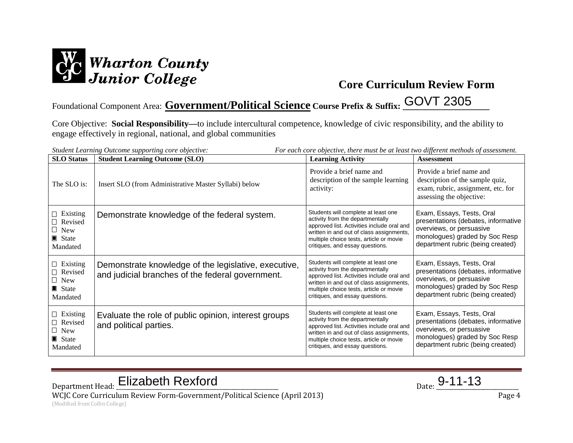

## Foundational Component Area: **Government/Political Science Course Prefix & Suffix: \_\_\_\_\_\_\_\_\_\_\_\_\_\_\_\_\_\_\_\_** GOVT 2305

Core Objective: **Social Responsibility—**to include intercultural competence, knowledge of civic responsibility, and the ability to engage effectively in regional, national, and global communities

| For each core objective, there must be at least two different methods of assessment.<br>Student Learning Outcome supporting core objective: |                                                                                                          |                                                                                                                                                                                                                                                 |                                                                                                                                                                     |  |
|---------------------------------------------------------------------------------------------------------------------------------------------|----------------------------------------------------------------------------------------------------------|-------------------------------------------------------------------------------------------------------------------------------------------------------------------------------------------------------------------------------------------------|---------------------------------------------------------------------------------------------------------------------------------------------------------------------|--|
| <b>SLO</b> Status                                                                                                                           | <b>Student Learning Outcome (SLO)</b>                                                                    | <b>Learning Activity</b>                                                                                                                                                                                                                        | <b>Assessment</b>                                                                                                                                                   |  |
| The SLO is:                                                                                                                                 | Insert SLO (from Administrative Master Syllabi) below                                                    | Provide a brief name and<br>description of the sample learning<br>activity:                                                                                                                                                                     | Provide a brief name and<br>description of the sample quiz,<br>exam, rubric, assignment, etc. for<br>assessing the objective:                                       |  |
| $\Box$ Existing<br>$\Box$ Revised<br>$\Box$ New<br>$\blacksquare$ State<br>Mandated                                                         | Demonstrate knowledge of the federal system.                                                             | Students will complete at least one<br>activity from the departmentally<br>approved list. Activities include oral and<br>written in and out of class assignments,<br>multiple choice tests, article or movie<br>critiques, and essay questions. | Exam, Essays, Tests, Oral<br>presentations (debates, informative<br>overviews, or persuasive<br>monologues) graded by Soc Resp<br>department rubric (being created) |  |
| $\Box$ Existing<br>$\Box$ Revised<br>$\Box$ New<br>$\blacksquare$ State<br>Mandated                                                         | Demonstrate knowledge of the legislative, executive,<br>and judicial branches of the federal government. | Students will complete at least one<br>activity from the departmentally<br>approved list. Activities include oral and<br>written in and out of class assignments,<br>multiple choice tests, article or movie<br>critiques, and essay questions. | Exam, Essays, Tests, Oral<br>presentations (debates, informative<br>overviews, or persuasive<br>monologues) graded by Soc Resp<br>department rubric (being created) |  |
| $\Box$ Existing<br>$\Box$ Revised<br>$\Box$ New<br>$\blacksquare$ State<br>Mandated                                                         | Evaluate the role of public opinion, interest groups<br>and political parties.                           | Students will complete at least one<br>activity from the departmentally<br>approved list. Activities include oral and<br>written in and out of class assignments,<br>multiple choice tests, article or movie<br>critiques, and essay questions. | Exam, Essays, Tests, Oral<br>presentations (debates, informative<br>overviews, or persuasive<br>monologues) graded by Soc Resp<br>department rubric (being created) |  |

Department Head: Elizabeth Rexford Department Head: <u>Elizabeth Rexford</u> Particle 19-11-13

WCJC Core Curriculum Review Form-Government/Political Science (April 2013) Page 4 (Modified from Collin College)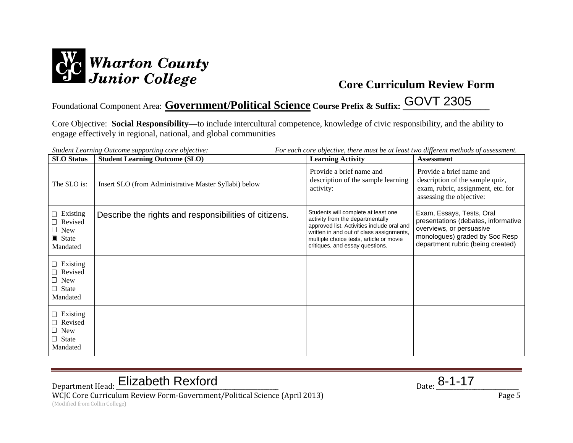

## Foundational Component Area: **Government/Political Science Course Prefix & Suffix: \_\_\_\_\_\_\_\_\_\_\_\_\_\_\_\_\_\_\_\_** GOVT 2305

Core Objective: **Social Responsibility—**to include intercultural competence, knowledge of civic responsibility, and the ability to engage effectively in regional, national, and global communities

| For each core objective, there must be at least two different methods of assessment.<br>Student Learning Outcome supporting core objective: |                                                       |                                                                                                                                                                                                                                                 |                                                                                                                                                                     |  |
|---------------------------------------------------------------------------------------------------------------------------------------------|-------------------------------------------------------|-------------------------------------------------------------------------------------------------------------------------------------------------------------------------------------------------------------------------------------------------|---------------------------------------------------------------------------------------------------------------------------------------------------------------------|--|
| <b>SLO</b> Status                                                                                                                           | <b>Student Learning Outcome (SLO)</b>                 | <b>Learning Activity</b>                                                                                                                                                                                                                        | <b>Assessment</b>                                                                                                                                                   |  |
| The SLO is:                                                                                                                                 | Insert SLO (from Administrative Master Syllabi) below | Provide a brief name and<br>description of the sample learning<br>activity:                                                                                                                                                                     | Provide a brief name and<br>description of the sample quiz,<br>exam, rubric, assignment, etc. for<br>assessing the objective:                                       |  |
| $\Box$ Existing<br>$\Box$ Revised<br>$\Box$ New<br>$\blacksquare$ State<br>Mandated                                                         | Describe the rights and responsibilities of citizens. | Students will complete at least one<br>activity from the departmentally<br>approved list. Activities include oral and<br>written in and out of class assignments,<br>multiple choice tests, article or movie<br>critiques, and essay questions. | Exam, Essays, Tests, Oral<br>presentations (debates, informative<br>overviews, or persuasive<br>monologues) graded by Soc Resp<br>department rubric (being created) |  |
| $\Box$ Existing<br>$\Box$ Revised<br>$\Box$ New<br>$\Box$ State<br>Mandated                                                                 |                                                       |                                                                                                                                                                                                                                                 |                                                                                                                                                                     |  |
| $\Box$ Existing<br>$\Box$ Revised<br>$\Box$ New<br>$\Box$ State<br>Mandated                                                                 |                                                       |                                                                                                                                                                                                                                                 |                                                                                                                                                                     |  |

# Department Head: Elizabeth Rexford Department Head: <u>Elizabeth Rexford</u> Parte 2014

WCJC Core Curriculum Review Form-Government/Political Science (April 2013) Page 5 (Modified from Collin College)